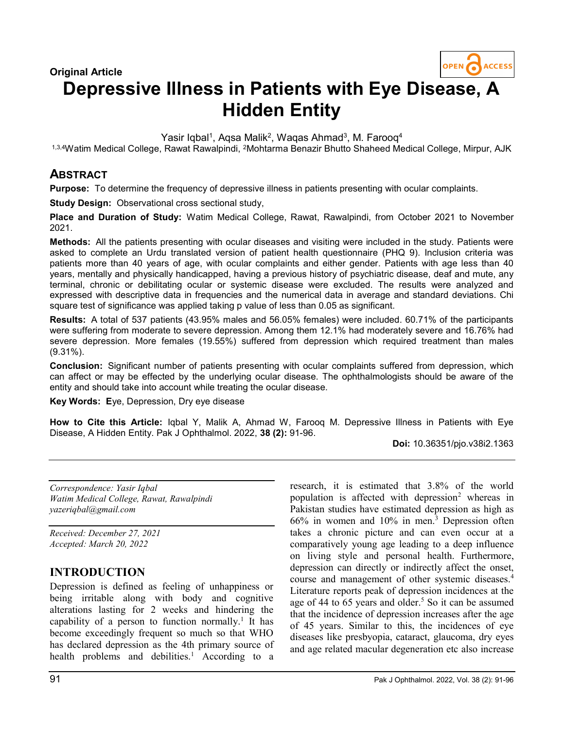

# Depressive Illness in Patients with Eye Disease, A Hidden Entity

Yasir Iqbal<sup>1</sup>, Aqsa Malik<sup>2</sup>, Waqas Ahmad<sup>3</sup>, M. Farooq<sup>4</sup>

1,3,4Watim Medical College, Rawat Rawalpindi, <sup>2</sup>Mohtarma Benazir Bhutto Shaheed Medical College, Mirpur, AJK

## **ABSTRACT**

Purpose: To determine the frequency of depressive illness in patients presenting with ocular complaints.

Study Design: Observational cross sectional study,

Place and Duration of Study: Watim Medical College, Rawat, Rawalpindi, from October 2021 to November 2021.

Methods: All the patients presenting with ocular diseases and visiting were included in the study. Patients were asked to complete an Urdu translated version of patient health questionnaire (PHQ 9). Inclusion criteria was patients more than 40 years of age, with ocular complaints and either gender. Patients with age less than 40 years, mentally and physically handicapped, having a previous history of psychiatric disease, deaf and mute, any terminal, chronic or debilitating ocular or systemic disease were excluded. The results were analyzed and expressed with descriptive data in frequencies and the numerical data in average and standard deviations. Chi square test of significance was applied taking p value of less than 0.05 as significant.

Results: A total of 537 patients (43.95% males and 56.05% females) were included. 60.71% of the participants were suffering from moderate to severe depression. Among them 12.1% had moderately severe and 16.76% had severe depression. More females (19.55%) suffered from depression which required treatment than males (9.31%).

Conclusion: Significant number of patients presenting with ocular complaints suffered from depression, which can affect or may be effected by the underlying ocular disease. The ophthalmologists should be aware of the entity and should take into account while treating the ocular disease.

Key Words: Eye, Depression, Dry eye disease

How to Cite this Article: Iqbal Y, Malik A, Ahmad W, Farooq M. Depressive Illness in Patients with Eye Disease, A Hidden Entity. Pak J Ophthalmol. 2022, 38 (2): 91-96.

Doi: 10.36351/pjo.v38i2.1363

Correspondence: Yasir Iqbal Watim Medical College, Rawat, Rawalpindi yazeriqbal@gmail.com

Received: December 27, 2021 Accepted: March 20, 2022

### INTRODUCTION

Depression is defined as feeling of unhappiness or being irritable along with body and cognitive alterations lasting for 2 weeks and hindering the capability of a person to function normally.<sup>1</sup> It has become exceedingly frequent so much so that WHO has declared depression as the 4th primary source of health problems and debilities.<sup>1</sup> According to a

population is affected with depression<sup>2</sup> whereas in Pakistan studies have estimated depression as high as 66% in women and 10% in men.<sup>3</sup> Depression often takes a chronic picture and can even occur at a comparatively young age leading to a deep influence on living style and personal health. Furthermore, depression can directly or indirectly affect the onset, course and management of other systemic diseases.<sup>4</sup> Literature reports peak of depression incidences at the age of 44 to 65 years and older.<sup>5</sup> So it can be assumed that the incidence of depression increases after the age of 45 years. Similar to this, the incidences of eye diseases like presbyopia, cataract, glaucoma, dry eyes and age related macular degeneration etc also increase

research, it is estimated that 3.8% of the world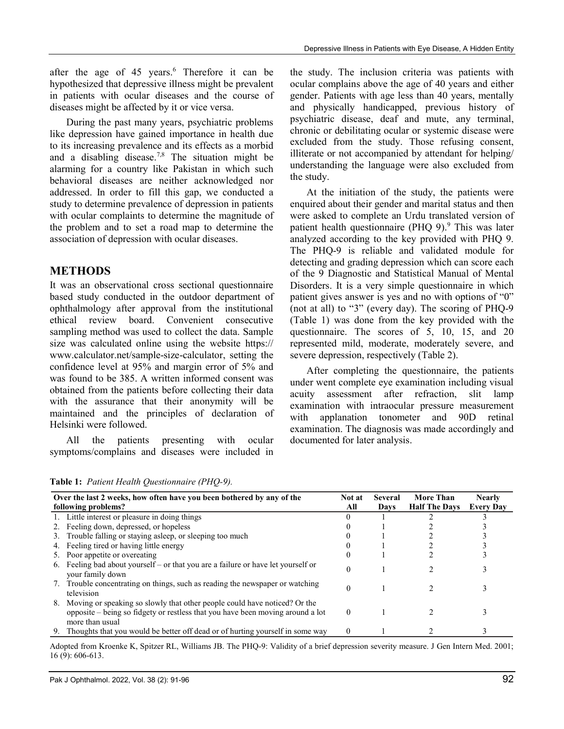after the age of  $45$  years.<sup>6</sup> Therefore it can be hypothesized that depressive illness might be prevalent in patients with ocular diseases and the course of diseases might be affected by it or vice versa.

 During the past many years, psychiatric problems like depression have gained importance in health due to its increasing prevalence and its effects as a morbid and a disabling disease.<sup>7,8</sup> The situation might be alarming for a country like Pakistan in which such behavioral diseases are neither acknowledged nor addressed. In order to fill this gap, we conducted a study to determine prevalence of depression in patients with ocular complaints to determine the magnitude of the problem and to set a road map to determine the association of depression with ocular diseases.

# METHODS

It was an observational cross sectional questionnaire based study conducted in the outdoor department of ophthalmology after approval from the institutional ethical review board. Convenient consecutive sampling method was used to collect the data. Sample size was calculated online using the website https:// www.calculator.net/sample-size-calculator, setting the confidence level at 95% and margin error of 5% and was found to be 385. A written informed consent was obtained from the patients before collecting their data with the assurance that their anonymity will be maintained and the principles of declaration of Helsinki were followed.

 All the patients presenting with ocular symptoms/complains and diseases were included in the study. The inclusion criteria was patients with ocular complains above the age of 40 years and either gender. Patients with age less than 40 years, mentally and physically handicapped, previous history of psychiatric disease, deaf and mute, any terminal, chronic or debilitating ocular or systemic disease were excluded from the study. Those refusing consent, illiterate or not accompanied by attendant for helping/ understanding the language were also excluded from the study.

 At the initiation of the study, the patients were enquired about their gender and marital status and then were asked to complete an Urdu translated version of patient health questionnaire (PHQ 9). $9$  This was later analyzed according to the key provided with PHQ 9. The PHQ-9 is reliable and validated module for detecting and grading depression which can score each of the 9 Diagnostic and Statistical Manual of Mental Disorders. It is a very simple questionnaire in which patient gives answer is yes and no with options of "0" (not at all) to "3" (every day). The scoring of PHQ-9 (Table 1) was done from the key provided with the questionnaire. The scores of 5, 10, 15, and 20 represented mild, moderate, moderately severe, and severe depression, respectively (Table 2).

 After completing the questionnaire, the patients under went complete eye examination including visual acuity assessment after refraction, slit lamp examination with intraocular pressure measurement with applanation tonometer and 90D retinal examination. The diagnosis was made accordingly and documented for later analysis.

Table 1: Patient Health Questionnaire (PHQ-9).

| Over the last 2 weeks, how often have you been bothered by any of the<br>following problems? |                                                                                                                                                                                |          | Several<br>Days | <b>More Than</b><br><b>Half The Days</b> | <b>Nearly</b><br><b>Every Day</b> |
|----------------------------------------------------------------------------------------------|--------------------------------------------------------------------------------------------------------------------------------------------------------------------------------|----------|-----------------|------------------------------------------|-----------------------------------|
|                                                                                              | 1. Little interest or pleasure in doing things                                                                                                                                 |          |                 |                                          |                                   |
|                                                                                              | 2. Feeling down, depressed, or hopeless                                                                                                                                        |          |                 |                                          |                                   |
|                                                                                              | 3. Trouble falling or staying asleep, or sleeping too much                                                                                                                     |          |                 |                                          |                                   |
|                                                                                              | 4. Feeling tired or having little energy                                                                                                                                       |          |                 |                                          |                                   |
|                                                                                              | 5. Poor appetite or overeating                                                                                                                                                 |          |                 |                                          |                                   |
| 6.                                                                                           | Feeling bad about yourself – or that you are a failure or have let yourself or<br>your family down                                                                             |          |                 |                                          |                                   |
|                                                                                              | 7. Trouble concentrating on things, such as reading the newspaper or watching<br>television                                                                                    |          |                 |                                          |                                   |
| 8.                                                                                           | Moving or speaking so slowly that other people could have noticed? Or the<br>opposite – being so fidgety or restless that you have been moving around a lot<br>more than usual | $\Omega$ |                 |                                          |                                   |
| 9.                                                                                           | Thoughts that you would be better off dead or of hurting yourself in some way                                                                                                  | $\theta$ |                 |                                          |                                   |

Adopted from Kroenke K, Spitzer RL, Williams JB. The PHQ-9: Validity of a brief depression severity measure. J Gen Intern Med. 2001; 16 (9): 606-613.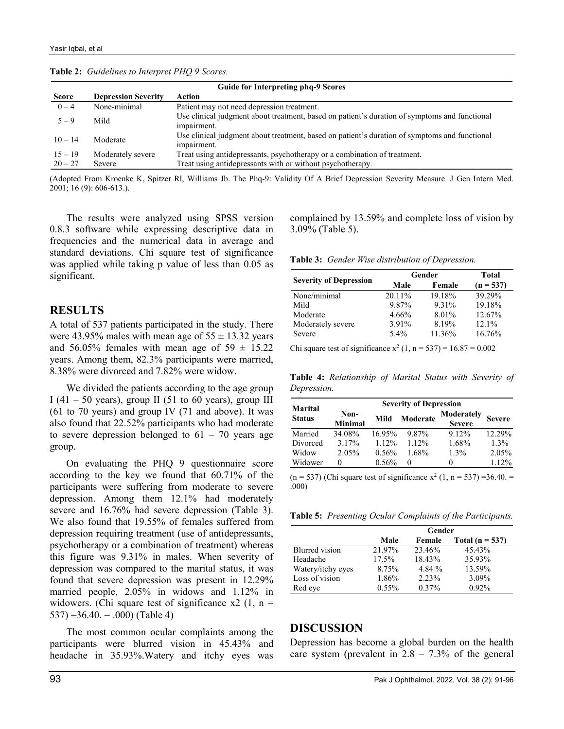| <b>Guide for Interpreting phq-9 Scores</b> |                            |                                                                                                              |  |  |
|--------------------------------------------|----------------------------|--------------------------------------------------------------------------------------------------------------|--|--|
| <b>Score</b>                               | <b>Depression Severity</b> | Action                                                                                                       |  |  |
| $0 - 4$                                    | None-minimal               | Patient may not need depression treatment.                                                                   |  |  |
| $5 - 9$                                    | Mild                       | Use clinical judgment about treatment, based on patient's duration of symptoms and functional<br>impairment. |  |  |
| $10 - 14$                                  | Moderate                   | Use clinical judgment about treatment, based on patient's duration of symptoms and functional<br>impairment. |  |  |
| $15 - 19$                                  | Moderately severe          | Treat using antidepressants, psychotherapy or a combination of treatment.                                    |  |  |
| $20 - 27$                                  | Severe                     | Treat using antidepressants with or without psychotherapy.                                                   |  |  |

Table 2: Guidelines to Interpret PHQ 9 Scores.

(Adopted From Kroenke K, Spitzer Rl, Williams Jb. The Phq-9: Validity Of A Brief Depression Severity Measure. J Gen Intern Med. 2001; 16 (9): 606-613.).

 The results were analyzed using SPSS version 0.8.3 software while expressing descriptive data in frequencies and the numerical data in average and standard deviations. Chi square test of significance was applied while taking p value of less than 0.05 as significant.

### **RESULTS**

A total of 537 patients participated in the study. There were 43.95% males with mean age of  $55 \pm 13.32$  years and 56.05% females with mean age of  $59 \pm 15.22$ years. Among them, 82.3% participants were married, 8.38% were divorced and 7.82% were widow.

 We divided the patients according to the age group I (41 – 50 years), group II (51 to 60 years), group III (61 to 70 years) and group IV (71 and above). It was also found that 22.52% participants who had moderate to severe depression belonged to  $61 - 70$  years age group.

 On evaluating the PHQ 9 questionnaire score according to the key we found that 60.71% of the participants were suffering from moderate to severe depression. Among them 12.1% had moderately severe and 16.76% had severe depression (Table 3). We also found that 19.55% of females suffered from depression requiring treatment (use of antidepressants, psychotherapy or a combination of treatment) whereas this figure was 9.31% in males. When severity of depression was compared to the marital status, it was found that severe depression was present in 12.29% married people, 2.05% in widows and 1.12% in widowers. (Chi square test of significance x2  $(1, n =$  $537$ ) = 36.40. = .000) (Table 4)

 The most common ocular complaints among the participants were blurred vision in 45.43% and headache in 35.93%.Watery and itchy eyes was complained by 13.59% and complete loss of vision by 3.09% (Table 5).

Table 3: Gender Wise distribution of Depression.

|                               | Gender   | Total  |             |
|-------------------------------|----------|--------|-------------|
| <b>Severity of Depression</b> | Male     | Female | $(n = 537)$ |
| None/minimal                  | 20.11\%  | 19.18% | 39.29%      |
| Mild                          | 9.87%    | 9.31%  | 19.18%      |
| Moderate                      | $4.66\%$ | 8.01%  | 12.67%      |
| Moderately severe             | 3.91%    | 8.19%  | $12.1\%$    |
| Severe                        | $5.4\%$  | 11.36% | 16.76%      |

Chi square test of significance  $x^2 (1, n = 537) = 16.87 = 0.002$ 

Table 4: Relationship of Marital Status with Severity of Depression.

| <b>Marital</b> | <b>Severity of Depression</b> |          |          |                             |               |  |
|----------------|-------------------------------|----------|----------|-----------------------------|---------------|--|
| <b>Status</b>  | Non-<br><b>Minimal</b>        | Mild     | Moderate | Moderately<br><b>Severe</b> | <b>Severe</b> |  |
| Married        | 34.08%                        | 16.95%   | 9.87%    | $9.12\%$                    | 12.29%        |  |
| Divorced       | 3.17%                         | $1.12\%$ | $1.12\%$ | 1.68%                       | $1.3\%$       |  |
| Widow          | 2.05%                         | $0.56\%$ | 1.68%    | 1.3%                        | 2.05%         |  |
| Widower        | $\theta$                      | 0.56%    | $_{0}$   |                             | 112%          |  |

 $(n = 537)$  (Chi square test of significance  $x^2$  (1, n = 537) = 36.40. = .000)

Table 5: Presenting Ocular Complaints of the Participants.

|                   | Gender   |          |                   |
|-------------------|----------|----------|-------------------|
|                   | Male     | Female   | Total $(n = 537)$ |
| Blurred vision    | 21.97%   | 23.46%   | 45.43%            |
| Headache          | $17.5\%$ | 18.43%   | 35.93%            |
| Watery/itchy eyes | 8.75%    | 4.84%    | 13.59%            |
| Loss of vision    | 1.86%    | 2.23%    | 3.09%             |
| Red eye           | $0.55\%$ | $0.37\%$ | $0.92\%$          |

#### DISCUSSION

Depression has become a global burden on the health care system (prevalent in  $2.8 - 7.3\%$  of the general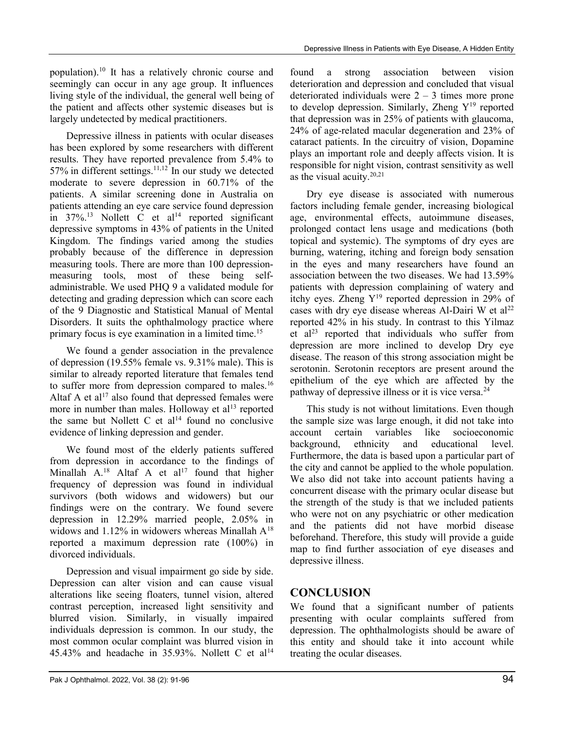population).<sup>10</sup> It has a relatively chronic course and seemingly can occur in any age group. It influences living style of the individual, the general well being of the patient and affects other systemic diseases but is largely undetected by medical practitioners.

 Depressive illness in patients with ocular diseases has been explored by some researchers with different results. They have reported prevalence from 5.4% to 57% in different settings.<sup>11,12</sup> In our study we detected moderate to severe depression in 60.71% of the patients. A similar screening done in Australia on patients attending an eye care service found depression in  $37\%$ .<sup>13</sup> Nollett C et al<sup>14</sup> reported significant depressive symptoms in 43% of patients in the United Kingdom. The findings varied among the studies probably because of the difference in depression measuring tools. There are more than 100 depressionmeasuring tools, most of these being selfadministrable. We used PHQ 9 a validated module for detecting and grading depression which can score each of the 9 Diagnostic and Statistical Manual of Mental Disorders. It suits the ophthalmology practice where primary focus is eye examination in a limited time.<sup>15</sup>

 We found a gender association in the prevalence of depression (19.55% female vs. 9.31% male). This is similar to already reported literature that females tend to suffer more from depression compared to males.<sup>16</sup> Altaf A et al<sup>17</sup> also found that depressed females were more in number than males. Holloway et  $al<sup>13</sup>$  reported the same but Nollett C et  $al<sup>14</sup>$  found no conclusive evidence of linking depression and gender.

 We found most of the elderly patients suffered from depression in accordance to the findings of Minallah  $A^{18}$  Altaf A et al<sup>17</sup> found that higher frequency of depression was found in individual survivors (both widows and widowers) but our findings were on the contrary. We found severe depression in 12.29% married people, 2.05% in widows and 1.12% in widowers whereas Minallah A<sup>18</sup> reported a maximum depression rate (100%) in divorced individuals.

 Depression and visual impairment go side by side. Depression can alter vision and can cause visual alterations like seeing floaters, tunnel vision, altered contrast perception, increased light sensitivity and blurred vision. Similarly, in visually impaired individuals depression is common. In our study, the most common ocular complaint was blurred vision in 45.43% and headache in 35.93%. Nollett C et al<sup>14</sup> found a strong association between vision deterioration and depression and concluded that visual deteriorated individuals were  $2 - 3$  times more prone to develop depression. Similarly, Zheng  $Y^{19}$  reported that depression was in 25% of patients with glaucoma, 24% of age-related macular degeneration and 23% of cataract patients. In the circuitry of vision, Dopamine plays an important role and deeply affects vision. It is responsible for night vision, contrast sensitivity as well as the visual acuity.20,21

 Dry eye disease is associated with numerous factors including female gender, increasing biological age, environmental effects, autoimmune diseases, prolonged contact lens usage and medications (both topical and systemic). The symptoms of dry eyes are burning, watering, itching and foreign body sensation in the eyes and many researchers have found an association between the two diseases. We had 13.59% patients with depression complaining of watery and itchy eyes. Zheng  $Y^{19}$  reported depression in 29% of cases with dry eye disease whereas Al-Dairi W et al<sup>22</sup> reported 42% in his study. In contrast to this Yilmaz et al<sup>23</sup> reported that individuals who suffer from depression are more inclined to develop Dry eye disease. The reason of this strong association might be serotonin. Serotonin receptors are present around the epithelium of the eye which are affected by the pathway of depressive illness or it is vice versa.<sup>24</sup>

 This study is not without limitations. Even though the sample size was large enough, it did not take into account certain variables like socioeconomic background, ethnicity and educational level. Furthermore, the data is based upon a particular part of the city and cannot be applied to the whole population. We also did not take into account patients having a concurrent disease with the primary ocular disease but the strength of the study is that we included patients who were not on any psychiatric or other medication and the patients did not have morbid disease beforehand. Therefore, this study will provide a guide map to find further association of eye diseases and depressive illness.

# **CONCLUSION**

We found that a significant number of patients presenting with ocular complaints suffered from depression. The ophthalmologists should be aware of this entity and should take it into account while treating the ocular diseases.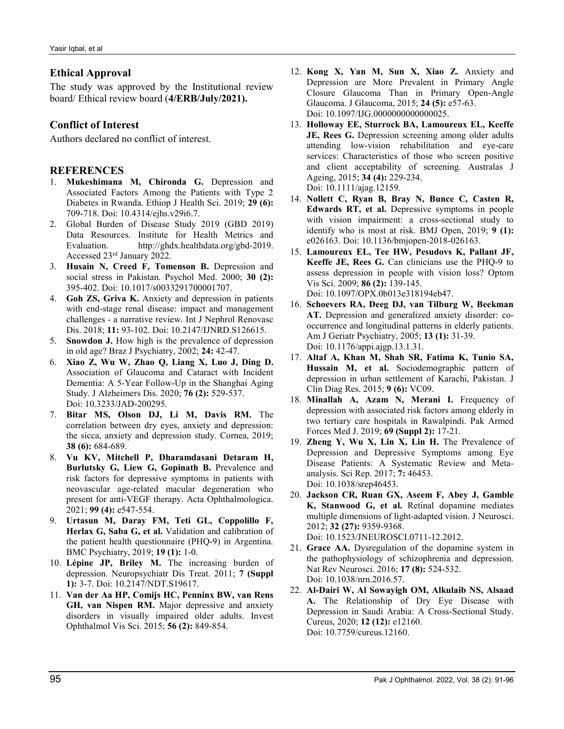### Ethical Approval

The study was approved by the Institutional review board/ Ethical review board (4/ERB/July/2021).

### Conflict of Interest

Authors declared no conflict of interest.

#### **REFERENCES**

- 1. Mukeshimana M, Chironda G. Depression and Associated Factors Among the Patients with Type 2 Diabetes in Rwanda. Ethiop J Health Sci. 2019; 29 (6): 709-718. Doi: 10.4314/ejhs.v29i6.7.
- 2. Global Burden of Disease Study 2019 (GBD 2019) Data Resources. Institute for Health Metrics and Evaluation. http://ghdx.healthdata.org/gbd-2019. Accessed 23rd January 2022.
- 3. Husain N, Creed F, Tomenson B. Depression and social stress in Pakistan. Psychol Med. 2000; 30 (2): 395-402. Doi: 10.1017/s0033291700001707.
- 4. Goh ZS, Griva K. Anxiety and depression in patients with end-stage renal disease: impact and management challenges - a narrative review. Int J Nephrol Renovasc Dis. 2018; 11: 93-102. Doi: 10.2147/IJNRD.S126615.
- 5. Snowdon J. How high is the prevalence of depression in old age? Braz J Psychiatry, 2002; 24: 42-47.
- 6. Xiao Z, Wu W, Zhao Q, Liang X, Luo J, Ding D. Association of Glaucoma and Cataract with Incident Dementia: A 5-Year Follow-Up in the Shanghai Aging Study. J Alzheimers Dis. 2020; 76 (2): 529-537. Doi: 10.3233/JAD-200295.
- 7. Bitar MS, Olson DJ, Li M, Davis RM. The correlation between dry eyes, anxiety and depression: the sicca, anxiety and depression study. Cornea, 2019; 38 (6): 684-689.
- 8. Vu KV, Mitchell P, Dharamdasani Detaram H, Burlutsky G, Liew G, Gopinath B. Prevalence and risk factors for depressive symptoms in patients with neovascular age-related macular degeneration who present for anti-VEGF therapy. Acta Ophthalmologica. 2021; 99 (4): e547-554.
- 9. Urtasun M, Daray FM, Teti GL, Coppolillo F, Herlax G, Saba G, et al. Validation and calibration of the patient health questionnaire (PHQ-9) in Argentina. BMC Psychiatry, 2019; 19 (1): 1-0.
- 10. Lépine JP, Briley M. The increasing burden of depression. Neuropsychiatr Dis Treat. 2011; 7 (Suppl 1): 3-7. Doi: 10.2147/NDT.S19617.
- 11. Van der Aa HP, Comijs HC, Penninx BW, van Rens GH, van Nispen RM. Major depressive and anxiety disorders in visually impaired older adults. Invest Ophthalmol Vis Sci. 2015; 56 (2): 849-854.
- 12. Kong X, Yan M, Sun X, Xiao Z. Anxiety and Depression are More Prevalent in Primary Angle Closure Glaucoma Than in Primary Open-Angle Glaucoma. J Glaucoma, 2015; 24 (5): e57-63. Doi: 10.1097/IJG.0000000000000025.
- 13. Holloway EE, Sturrock BA, Lamoureux EL, Keeffe JE, Rees G. Depression screening among older adults attending low-vision rehabilitation and eye-care services: Characteristics of those who screen positive and client acceptability of screening. Australas J Ageing, 2015; 34 (4): 229-234. Doi: 10.1111/ajag.12159.
- 14. Nollett C, Ryan B, Bray N, Bunce C, Casten R, Edwards RT, et al. Depressive symptoms in people with vision impairment: a cross-sectional study to identify who is most at risk. BMJ Open, 2019; 9 (1): e026163. Doi: 10.1136/bmjopen-2018-026163.
- 15. Lamoureux EL, Tee HW, Pesudovs K, Pallant JF, Keeffe JE, Rees G. Can clinicians use the PHQ-9 to assess depression in people with vision loss? Optom Vis Sci. 2009; 86 (2): 139-145. Doi: 10.1097/OPX.0b013e318194eb47.
- 16. Schoevers RA, Deeg DJ, van Tilburg W, Beekman AT. Depression and generalized anxiety disorder: cooccurrence and longitudinal patterns in elderly patients. Am J Geriatr Psychiatry, 2005; 13 (1): 31-39. Doi: 10.1176/appi.ajgp.13.1.31.
- 17. Altaf A, Khan M, Shah SR, Fatima K, Tunio SA, Hussain M, et al. Sociodemographic pattern of depression in urban settlement of Karachi, Pakistan. J Clin Diag Res. 2015; 9 (6): VC09.
- 18. Minallah A, Azam N, Merani I. Frequency of depression with associated risk factors among elderly in two tertiary care hospitals in Rawalpindi. Pak Armed Forces Med J. 2019; 69 (Suppl 2): 17-21.
- 19. Zheng Y, Wu X, Lin X, Lin H. The Prevalence of Depression and Depressive Symptoms among Eye Disease Patients: A Systematic Review and Metaanalysis. Sci Rep. 2017; 7: 46453. Doi: 10.1038/srep46453.
- 20. Jackson CR, Ruan GX, Aseem F, Abey J, Gamble K, Stanwood G, et al. Retinal dopamine mediates multiple dimensions of light-adapted vision. J Neurosci. 2012; 32 (27): 9359-9368.
- Doi: 10.1523/JNEUROSCI.0711-12.2012. 21. Grace AA. Dysregulation of the dopamine system in
- the pathophysiology of schizophrenia and depression. Nat Rev Neurosci. 2016; 17 (8): 524-532. Doi: 10.1038/nrn.2016.57.
- 22. Al-Dairi W, Al Sowayigh OM, Alkulaib NS, Alsaad A. The Relationship of Dry Eye Disease with Depression in Saudi Arabia: A Cross-Sectional Study. Cureus, 2020; 12 (12): e12160. Doi: 10.7759/cureus.12160.